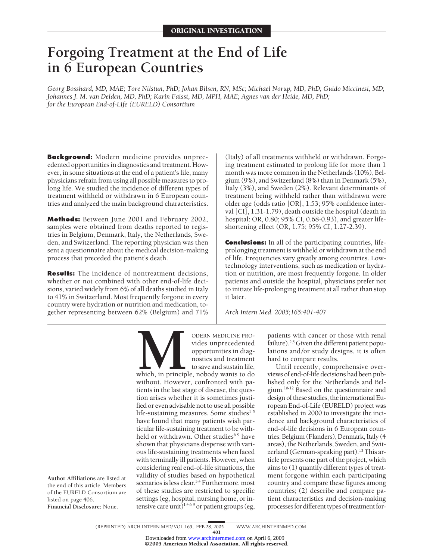# **Forgoing Treatment at the End of Life in 6 European Countries**

*Georg Bosshard, MD, MAE; Tore Nilstun, PhD; Johan Bilsen, RN, MSc; Michael Norup, MD, PhD; Guido Miccinesi, MD; Johannes J. M. van Delden, MD, PhD; Karin Faisst, MD, MPH, MAE; Agnes van der Heide, MD, PhD; for the European End-of-Life (EURELD) Consortium*

**Background:** Modern medicine provides unprecedented opportunities in diagnostics and treatment. However, in some situations at the end of a patient's life, many physicians refrain from using all possible measures to prolong life. We studied the incidence of different types of treatment withheld or withdrawn in 6 European countries and analyzed the main background characteristics.

**Methods:** Between June 2001 and February 2002, samples were obtained from deaths reported to registries in Belgium, Denmark, Italy, the Netherlands, Sweden, and Switzerland. The reporting physician was then sent a questionnaire about the medical decision-making process that preceded the patient's death.

**Results:** The incidence of nontreatment decisions, whether or not combined with other end-of-life decisions, varied widely from 6% of all deaths studied in Italy to 41% in Switzerland. Most frequently forgone in every country were hydration or nutrition and medication, together representing between 62% (Belgium) and 71%

**Author Affiliations** are listed at the end of this article. Members of the EURELD Consortium are

listed on page 406. **Financial Disclosure:** None. (Italy) of all treatments withheld or withdrawn. Forgoing treatment estimated to prolong life for more than 1 month was more common in the Netherlands (10%), Belgium (9%), and Switzerland (8%) than in Denmark (5%), Italy (3%), and Sweden (2%). Relevant determinants of treatment being withheld rather than withdrawn were older age (odds ratio [OR], 1.53; 95% confidence interval [CI], 1.31-1.79), death outside the hospital (death in hospital: OR, 0.80; 95% CI, 0.68-0.93), and greater lifeshortening effect (OR, 1.75; 95% CI, 1.27-2.39).

**Conclusions:** In all of the participating countries, lifeprolonging treatment is withheld or withdrawn at the end of life. Frequencies vary greatly among countries. Lowtechnology interventions, such as medication or hydration or nutrition, are most frequently forgone. In older patients and outside the hospital, physicians prefer not to initiate life-prolonging treatment at all rather than stop it later.

*Arch Intern Med. 2005;165:401-407*

**MEDICINE PROVIDE PROVIDE PROVIDE UPPOTERN MEDICINE PROVIDE UPPOTERN MEDICINE PROPORTION OF PROPORTION SUPPORTION SUPPORTION SUPPORTION SUPPORTION SUPPORTION SUPPORTION SUPPORTION SUPPORTION SUPPORTION SUPPORTION SUPPORTIO** vides unprecedented opportunities in diagnostics and treatment to save and sustain life, which, in principle, nobody wants to do without. However, confronted with patients in the last stage of disease, the question arises whether it is sometimes justified or even advisable not to use all possible life-sustaining measures. Some studies<sup>1-5</sup> have found that many patients wish particular life-sustaining treatment to be withheld or withdrawn. Other studies<sup>6-9</sup> have shown that physicians dispense with various life-sustaining treatments when faced with terminally ill patients. However, when considering real end-of-life situations, the validity of studies based on hypothetical scenarios is less clear.<sup>3,4</sup> Furthermore, most of these studies are restricted to specific settings (eg, hospital, nursing home, or intensive care unit)<sup>1,4,6-9</sup> or patient groups (eg,

patients with cancer or those with renal failure).<sup>2,5</sup> Given the different patient populations and/or study designs, it is often hard to compare results.

Until recently, comprehensive overviews of end-of-life decisions had been published only for the Netherlands and Belgium.10-12 Based on the questionnaire and design of these studies, the international European End-of-Life (EURELD) project was established in 2000 to investigate the incidence and background characteristics of end-of-life decisions in 6 European countries: Belgium (Flanders), Denmark, Italy (4 areas), the Netherlands, Sweden, and Switzerland (German-speaking part).<sup>13</sup> This article presents one part of the project, which aims to (1) quantify different types of treatment forgone within each participating country and compare these figures among countries; (2) describe and compare patient characteristics and decision-making processes for different types of treatment for-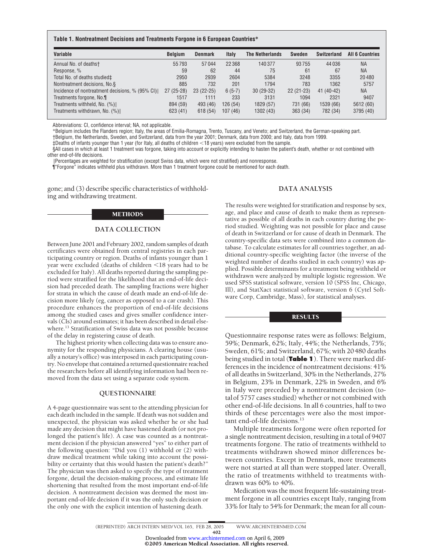#### **Table 1. Nontreatment Decisions and Treatments Forgone in 6 European Countries\***

| Variable                                        | <b>Belaium</b> | <b>Denmark</b> | <b>Italy</b> | <b>The Netherlands</b> | Sweden      | <b>Switzerland</b> | <b>All 6 Countries</b> |
|-------------------------------------------------|----------------|----------------|--------------|------------------------|-------------|--------------------|------------------------|
| Annual No. of deathst                           | 55793          | 57044          | 22 3 68      | 140377                 | 93755       | 44 0 36            | <b>NA</b>              |
| Response, %                                     | 59             | 62             | 44           | 75                     | 61          | 67                 | <b>NA</b>              |
| Total No. of deaths studied‡                    | 2950           | 2939           | 2604         | 5384                   | 3248        | 3355               | 20480                  |
| Nontreatment decisions, No. §                   | 885            | 732            | 201          | 1794                   | 783         | 1362               | 5757                   |
| Incidence of nontreatment decisions, % (95% CI) | $27(25-28)$    | $23(22-25)$    | $6(5-7)$     | $30(29-32)$            | $22(21-23)$ | 41 (40-42)         | <b>NA</b>              |
| Treatments forgone, No.¶                        | 1517           | 1111           | 233          | 3131                   | 1094        | 2321               | 9407                   |
| Treatments withheld, No. (%)                    | 894 (59)       | 493 (46)       | 126 (54)     | 1829 (57)              | 731 (66)    | 1539 (66)          | 5612 (60)              |
| Treatments withdrawn, No. (%)                   | 623 (41)       | 618 (54)       | 107 (46)     | 1302 (43)              | 363 (34)    | 782 (34)           | 3795 (40)              |

Abbreviations: CI, confidence interval; NA, not applicable.

\*Belgium includes the Flanders region; Italy, the areas of Emilia-Romagna, Trento, Tuscany, and Veneto; and Switzerland, the German-speaking part.

†Belgium, the Netherlands, Sweden, and Switzerland, data from the year 2001; Denmark, data from 2000; and Italy, data from 1999.

‡Deaths of infants younger than 1 year (for Italy, all deaths of children 18 years) were excluded from the sample.

§All cases in which at least 1 treatment was forgone, taking into account or explicitly intending to hasten the patient's death, whether or not combined with other end-of-life decisions.

Percentages are weighted for stratification (except Swiss data, which were not stratified) and nonresponse.

¶"Forgone" indicates withheld plus withdrawn. More than 1 treatment forgone could be mentioned for each death.

gone; and (3) describe specific characteristics of withholding and withdrawing treatment.

### METHODS

# **DATA COLLECTION**

Between June 2001 and February 2002, random samples of death certificates were obtained from central registries in each participating country or region. Deaths of infants younger than 1 year were excluded (deaths of children <18 years had to be excluded for Italy). All deaths reported during the sampling period were stratified for the likelihood that an end-of-life decision had preceded death. The sampling fractions were higher for strata in which the cause of death made an end-of-life decision more likely (eg, cancer as opposed to a car crash). This procedure enhances the proportion of end-of-life decisions among the studied cases and gives smaller confidence intervals (CIs) around estimates; it has been described in detail elsewhere.<sup>13</sup> Stratification of Swiss data was not possible because of the delay in registering cause of death.

The highest priority when collecting data was to ensure anonymity for the responding physicians. A clearing house (usually a notary's office) was interposed in each participating country. No envelope that contained a returned questionnaire reached the researchers before all identifying information had been removed from the data set using a separate code system.

## **QUESTIONNAIRE**

A 4-page questionnaire was sent to the attending physician for each death included in the sample. If death was not sudden and unexpected, the physician was asked whether he or she had made any decision that might have hastened death (or not prolonged the patient's life). A case was counted as a nontreatment decision if the physician answered "yes" to either part of the following question: "Did you (1) withhold or (2) withdraw medical treatment while taking into account the possibility or certainty that this would hasten the patient's death?" The physician was then asked to specify the type of treatment forgone, detail the decision-making process, and estimate life shortening that resulted from the most important end-of-life decision. A nontreatment decision was deemed the most important end-of-life decision if it was the only such decision or the only one with the explicit intention of hastening death.

# **DATA ANALYSIS**

The results were weighted for stratification and response by sex, age, and place and cause of death to make them as representative as possible of all deaths in each country during the period studied. Weighting was not possible for place and cause of death in Switzerland or for cause of death in Denmark. The country-specific data sets were combined into a common database. To calculate estimates for all countries together, an additional country-specific weighting factor (the inverse of the weighted number of deaths studied in each country) was applied. Possible determinants for a treatment being withheld or withdrawn were analyzed by multiple logistic regression. We used SPSS statistical software, version 10 (SPSS Inc, Chicago, Ill), and StatXact statistical software, version 6 (Cytel Software Corp, Cambridge, Mass), for statistical analyses.

#### **RESULTS**

Questionnaire response rates were as follows: Belgium, 59%; Denmark, 62%; Italy, 44%; the Netherlands, 75%; Sweden, 61%; and Switzerland, 67%; with 20480 deaths being studied in total (**Table 1**). There were marked differences in the incidence of nontreatment decisions: 41% of all deaths in Switzerland, 30% in the Netherlands, 27% in Belgium, 23% in Denmark, 22% in Sweden, and 6% in Italy were preceded by a nontreatment decision (totalof 5757 cases studied) whether or not combined with other end-of-life decisions. In all 6 countries, half to two thirds of these percentages were also the most important end-of-life decisions.<sup>13</sup>

Multiple treatments forgone were often reported for a single nontreatment decision, resulting in a total of 9407 treatments forgone. The ratio of treatments withheld to treatments withdrawn showed minor differences between countries. Except in Denmark, more treatments were not started at all than were stopped later. Overall, the ratio of treatments withheld to treatments withdrawn was 60% to 40%.

Medication was the most frequent life-sustaining treatment forgone in all countries except Italy, ranging from 33% for Italy to 54% for Denmark; the mean for all coun-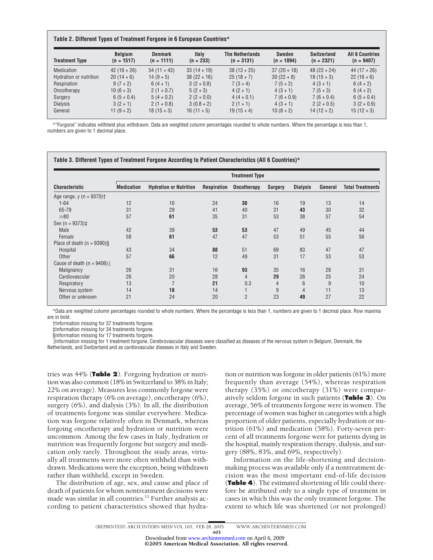| <b>Treatment Type</b>  | <b>Belaium</b><br>$(n = 1517)$ | <b>Denmark</b><br>$(n = 1111)$ | <b>Italy</b><br>$(n = 233)$ | <b>The Netherlands</b><br>$(n = 3131)$ | Sweden<br>$(n = 1094)$ | <b>Switzerland</b><br>$(n = 2321)$ | <b>All 6 Countries</b><br>$(n = 9407)$ |
|------------------------|--------------------------------|--------------------------------|-----------------------------|----------------------------------------|------------------------|------------------------------------|----------------------------------------|
| Medication             | $42(16+26)$                    | $54(11+43)$                    | $33(14+19)$                 | $38(13+25)$                            | $37(20+18)$            | $48(23 + 24)$                      | $44(17+26)$                            |
| Hydration or nutrition | $20(14+6)$                     | $14(9+5)$                      | $38(22+16)$                 | $25(18+7)$                             | $30(22+8)$             | $18(15+3)$                         | $22(16+6)$                             |
| Respiration            | $9(7+2)$                       | $6(4+1)$                       | $3(2 + 0.8)$                | $7(3 + 4)$                             | $7(5+2)$               | $4(3 + 1)$                         | $6(4+2)$                               |
| Oncotherapy            | $10(6+3)$                      | $2(1 + 0.7)$                   | $5(2+3)$                    | $4(2+1)$                               | $4(3+1)$               | $7(5+3)$                           | $6(4+2)$                               |
| Surgery                | $6(5+0.4)$                     | $5(4+0.2)$                     | $2(2+0.0)$                  | $4(4+0.1)$                             | $7(6+0.9)$             | $7(6+0.4)$                         | $6(5 + 0.4)$                           |
| <b>Dialysis</b>        | $3(2 + 1)$                     | $2(1 + 0.8)$                   | $3(0.8 + 2)$                | $2(1 + 1)$                             | $4(3 + 1)$             | $2(2+0.5)$                         | $3(2 + 0.9)$                           |
| General                | $11(9+2)$                      | $18(15+3)$                     | $16(11+5)$                  | $19(15+4)$                             | $10(8+2)$              | $14(12+2)$                         | $15(12+3)$                             |

\*"Forgone" indicates withheld plus withdrawn. Data are weighted column percentages rounded to whole numbers. Where the percentage is less than 1, numbers are given to 1 decimal place.

|                                       | <b>Treatment Type</b> |                               |                    |                    |                |                 |         |                         |  |
|---------------------------------------|-----------------------|-------------------------------|--------------------|--------------------|----------------|-----------------|---------|-------------------------|--|
| <b>Characteristic</b>                 | <b>Medication</b>     | <b>Hydration or Nutrition</b> | <b>Respiration</b> | <b>Oncotherapy</b> | Surgery        | <b>Dialysis</b> | General | <b>Total Treatments</b> |  |
| Age range, $y(n = 9370)$ <sup>+</sup> |                       |                               |                    |                    |                |                 |         |                         |  |
| $1 - 64$                              | 12                    | 10                            | 24                 | 30                 | 16             | 19              | 13      | 14                      |  |
| 65-79                                 | 31                    | 29                            | 41                 | 40                 | 31             | 43              | 30      | 32                      |  |
| $\geq 80$                             | 57                    | 61                            | 35                 | 31                 | 53             | 38              | 57      | 54                      |  |
| Sex $(n = 9373)$ ‡                    |                       |                               |                    |                    |                |                 |         |                         |  |
| Male                                  | 42                    | 39                            | 53                 | 53                 | 47             | 49              | 45      | 44                      |  |
| Female                                | 58                    | 61                            | 47                 | 47                 | 53             | 51              | 55      | 56                      |  |
| Place of death ( $n = 9390$ )§        |                       |                               |                    |                    |                |                 |         |                         |  |
| Hospital                              | 43                    | 34                            | 88                 | 51                 | 69             | 83              | 47      | 47                      |  |
| Other                                 | 57                    | 66                            | 12                 | 49                 | 31             | 17              | 53      | 53                      |  |
| Cause of death ( $n = 9406$ )         |                       |                               |                    |                    |                |                 |         |                         |  |
| Malignancy                            | 26                    | 31                            | 16                 | 93                 | 35             | 16              | 28      | 31                      |  |
| Cardiovascular                        | 26                    | 20                            | 28                 | 4                  | 29             | 26              | 25      | 24                      |  |
| Respiratory                           | 13                    |                               | 21                 | 0.3                | $\overline{4}$ | $6\phantom{1}6$ | 9       | 10                      |  |
| Nervous system                        | 14                    | 18                            | 14                 |                    | 9              | 4               | 11      | 13                      |  |
| Other or unknown                      | 21                    | 24                            | 20                 | $\overline{2}$     | 23             | 49              | 27      | 22                      |  |

\*Data are weighted column percentages rounded to whole numbers. Where the percentage is less than 1, numbers are given to 1 decimal place. Row maxima are in bold.

†Information missing for 37 treatments forgone.

‡Information missing for 34 treatments forgone.

§Information missing for 17 treatments forgone.

Information missing for 1 treatment forgone. Cerebrovascular diseases were classified as diseases of the nervous system in Belgium, Denmark, the Netherlands, and Switzerland and as cardiovascular diseases in Italy and Sweden.

tries was 44% (**Table 2**). Forgoing hydration or nutrition was also common (18% in Switzerland to 38% in Italy; 22% on average). Measures less commonly forgone were respiration therapy (6% on average), oncotherapy (6%), surgery (6%), and dialysis (3%). In all, the distribution of treatments forgone was similar everywhere. Medication was forgone relatively often in Denmark, whereas forgoing oncotherapy and hydration or nutrition were uncommon. Among the few cases in Italy, hydration or nutrition was frequently forgone but surgery and medication only rarely. Throughout the study areas, virtually all treatments were more often withheld than withdrawn. Medications were the exception, being withdrawn rather than withheld, except in Sweden.

The distribution of age, sex, and cause and place of death of patients for whom nontreatment decisions were made was similar in all countries.<sup>13</sup> Further analysis according to patient characteristics showed that hydration or nutrition was forgone in older patients (61%) more frequently than average (54%), whereas respiration therapy (35%) or oncotherapy (31%) were comparatively seldom forgone in such patients (**Table 3**). On average, 56% of treatments forgone were in women. The percentage of women was higher in categories with a high proportion of older patients, especially hydration or nutrition (61%) and medication (58%). Forty-seven percent of all treatments forgone were for patients dying in the hospital, mainly respiration therapy, dialysis, and surgery (88%, 83%, and 69%, respectively).

Information on the life-shortening and decisionmaking process was available only if a nontreatment decision was the most important end-of-life decision (**Table 4**). The estimated shortening of life could therefore be attributed only to a single type of treatment in cases in which this was the only treatment forgone. The extent to which life was shortened (or not prolonged)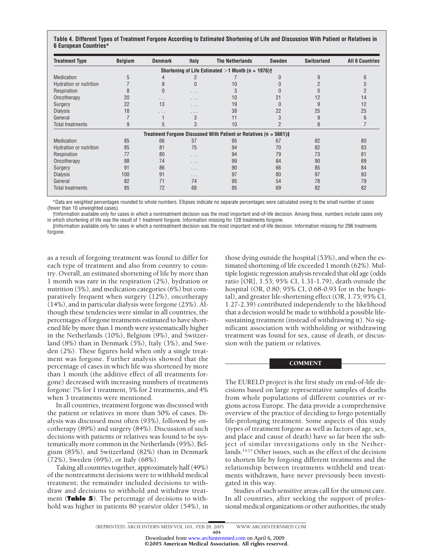**Table 4. Different Types of Treatment Forgone According to Estimated Shortening of Life and Discussion With Patient or Relatives in 6 European Countries\***

| <b>Treatment Type</b>   | <b>Belgium</b> | <b>Denmark</b> | <b>Italy</b>            | <b>The Netherlands</b>                                                | <b>Sweden</b>  | <b>Switzerland</b> | <b>All 6 Countries</b> |
|-------------------------|----------------|----------------|-------------------------|-----------------------------------------------------------------------|----------------|--------------------|------------------------|
|                         |                |                |                         | Shortening of Life Estimated $>1$ Month (n = 1976) <sup>†</sup>       |                |                    |                        |
| Medication              | 5              | 4              |                         |                                                                       |                | 9                  | 6                      |
| Hydration or nutrition  |                | 8              | $\theta$                | 10                                                                    |                |                    | 5                      |
| Respiration             | 8              | $\mathbf{0}$   | $\cdots$                |                                                                       |                |                    |                        |
| Oncotherapy             | 20             | .              | .                       | 10                                                                    | 21             | 12                 | 14                     |
| Surgery                 | 22             | 13             | $\cdot$ $\cdot$ $\cdot$ | 19                                                                    |                | 9                  | 12                     |
| <b>Dialysis</b>         | 18             | .              | .                       | 38                                                                    | 22             | 25                 | 25                     |
| General                 |                |                | 3                       | 11                                                                    | 3              | 9                  | 6                      |
| <b>Total treatments</b> | 9              | 5              | 3                       | 10                                                                    | $\overline{2}$ | 8                  |                        |
|                         |                |                |                         | Treatment Forgone Discussed With Patient or Relatives ( $n = 5661$ )‡ |                |                    |                        |
| <b>Medication</b>       | 85             | 66             | 57                      | 95                                                                    | 67             | 82                 | 80                     |
| Hydration or nutrition  | 85             | 81             | 75                      | 94                                                                    | 70             | 82                 | 83                     |
| Respiration             | 77             | 80             | .                       | 94                                                                    | 79             | 73                 | 81                     |
| Oncotherapy             | 88             | 74             | $\cdots$                | 99                                                                    | 84             | 90                 | 89                     |
| Surgery                 | 91             | 86             | $\cdots$                | 90                                                                    | 66             | 85                 | 84                     |
| <b>Dialysis</b>         | 100            | 91             | .                       | 97                                                                    | 80             | 97                 | 93                     |
| General                 | 82             | 71             | 74                      | 95                                                                    | 54             | 78                 | 79                     |
| <b>Total treatments</b> | 85             | 72             | 68                      | 95                                                                    | 69             | 82                 | 82                     |

\*Data are weighted percentages rounded to whole numbers. Ellipses indicate no separate percentages were calculated owing to the small number of cases (fewer than 10 unweighted cases).

†Information available only for cases in which a nontreatment decision was the most important end-of-life decision. Among these, numbers include cases only in which shortening of life was the result of 1 treatment forgone. Information missing for 128 treatments forgone.

‡Information available only for cases in which a nontreatment decision was the most important end-of-life decision. Information missing for 296 treatments forgone.

as a result of forgoing treatment was found to differ for each type of treatment and also from country to country. Overall, an estimated shortening of life by more than 1 month was rare in the respiration (2%), hydration or nutrition (5%), and medication categories (6%) but comparatively frequent when surgery (12%), oncotherapy  $(14%)$ , and in particular dialysis were forgone (25%). Although these tendencies were similar in all countries, the percentages of forgone treatments estimated to have shortened life by more than 1 month were systematically higher in the Netherlands (10%), Belgium (9%), and Switzerland (8%) than in Denmark (5%), Italy (3%), and Sweden (2%). These figures hold when only a single treatment was forgone. Further analysis showed that the percentage of cases in which life was shortened by more than 1 month (the additive effect of all treatments forgone) decreased with increasing numbers of treatments forgone: 7% for 1 treatment, 5% for 2 treatments, and 4% when 3 treatments were mentioned.

In all countries, treatment forgone was discussed with the patient or relatives in more than 50% of cases. Dialysis was discussed most often (93%), followed by oncotherapy (89%) and surgery (84%). Discussion of such decisions with patients or relatives was found to be systematically more common in the Netherlands (95%), Belgium (85%), and Switzerland (82%) than in Denmark (72%), Sweden (69%), or Italy (68%).

Taking all countries together, approximately half (49%) of the nontreatment decisions were to withhold medical treatment; the remainder included decisions to withdraw and decisions to withhold and withdraw treatment (**Table 5**). The percentage of decisions to withhold was higher in patients 80 years/or older (54%), in those dying outside the hospital (53%), and when the estimated shortening of life exceeded 1 month (62%). Multiple logistic regression analysis revealed that old age (odds ratio [OR], 1.53; 95% CI, 1.31-1.79), death outside the hospital (OR, 0.80; 95% CI, 0.68-0.93 for in the hospital), and greater life-shortening effect (OR, 1.75; 95% CI, 1.27-2.39) contributed independently to the likelihood that a decision would be made to withhold a possible lifesustaining treatment (instead of withdrawing it). No significant association with withholding or withdrawing treatment was found for sex, cause of death, or discussion with the patient or relatives.

## **COMMENT**

The EURELD project is the first study on end-of-life decisions based on large representative samples of deaths from whole populations of different countries or regions across Europe. The data provide a comprehensive overview of the practice of deciding to forgo potentially life-prolonging treatment. Some aspects of this study (types of treatment forgone as well as factors of age, sex, and place and cause of death) have so far been the subject of similar investigations only in the Netherlands.<sup>14,15</sup> Other issues, such as the effect of the decision to shorten life by forgoing different treatments and the relationship between treatments withheld and treatments withdrawn, have never previously been investigated in this way.

Studies of such sensitive areas call for the utmost care. In all countries, after seeking the support of professional medical organizations or other authorities, the study

<sup>(</sup>REPRINTED) ARCH INTERN MED/ VOL 165, FEB 28, 2005 WWW.ARCHINTERNMED.COM 404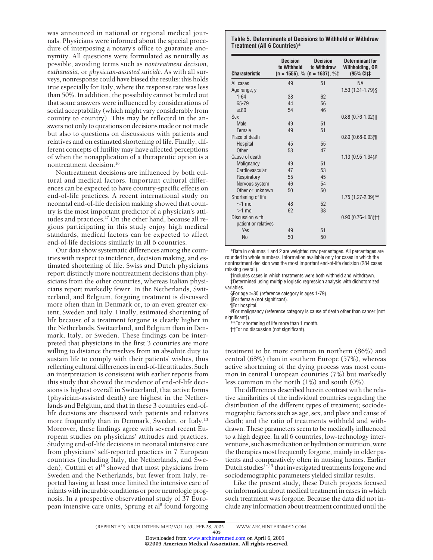was announced in national or regional medical journals. Physicians were informed about the special procedure of interposing a notary's office to guarantee anonymity. All questions were formulated as neutrally as possible, avoiding terms such as *nontreatment decision*, *euthanasia*, or *physician-assisted suicide*. As with all surveys, nonresponse could have biased the results: this holds true especially for Italy, where the response rate was less than 50%. In addition, the possibility cannot be ruled out that some answers were influenced by considerations of social acceptability (which might vary considerably from country to country). This may be reflected in the answers not only to questions on decisions made or not made but also to questions on discussions with patients and relatives and on estimated shortening of life. Finally, different concepts of futility may have affected perceptions of when the nonapplication of a therapeutic option is a nontreatment decision.16

Nontreatment decisions are influenced by both cultural and medical factors. Important cultural differences can be expected to have country-specific effects on end-of-life practices. A recent international study on neonatal end-of-life decision making showed that country is the most important predictor of a physician's attitudes and practices.17 On the other hand, because all regions participating in this study enjoy high medical standards, medical factors can be expected to affect end-of-life decisions similarly in all 6 countries.

Our data show systematic differences among the countries with respect to incidence, decision making, and estimated shortening of life. Swiss and Dutch physicians report distinctly more nontreatment decisions than physicians from the other countries, whereas Italian physicians report markedly fewer. In the Netherlands, Switzerland, and Belgium, forgoing treatment is discussed more often than in Denmark or, to an even greater extent, Sweden and Italy. Finally, estimated shortening of life because of a treatment forgone is clearly higher in the Netherlands, Switzerland, and Belgium than in Denmark, Italy, or Sweden. These findings can be interpreted that physicians in the first 3 countries are more willing to distance themselves from an absolute duty to sustain life to comply with their patients' wishes, thus reflecting cultural differences in end-of-life attitudes. Such an interpretation is consistent with earlier reports from this study that showed the incidence of end-of-life decisions is highest overall in Switzerland, that active forms (physician-assisted death) are highest in the Netherlands and Belgium, and that in these 3 countries end-oflife decisions are discussed with patients and relatives more frequently than in Denmark, Sweden, or Italy.13 Moreover, these findings agree with several recent European studies on physicians' attitudes and practices. Studying end-of-life decisions in neonatal intensive care from physicians' self-reported practices in 7 European countries (including Italy, the Netherlands, and Sweden), Cuttini et al<sup>18</sup> showed that most physicians from Sweden and the Netherlands, but fewer from Italy, reported having at least once limited the intensive care of infants with incurable conditions or poor neurologic prognosis. In a prospective observational study of 37 European intensive care units, Sprung et al<sup>8</sup> found forgoing **Table 5. Determinants of Decisions to Withhold or Withdraw Treatment (All 6 Countries)\***

| <b>Characteristic</b>                   | Decision<br>to Withhold | Decision<br>to Withdraw<br>$(n = 1556)$ , % $(n = 1637)$ , %t | Determinant for<br>Withholding, OR<br>$(95\% \text{ Cl})\ddagger$ |
|-----------------------------------------|-------------------------|---------------------------------------------------------------|-------------------------------------------------------------------|
| All cases                               | 49                      | 51                                                            | <b>NA</b>                                                         |
| Age range, y                            |                         |                                                               | 1.53 (1.31-1.79) §                                                |
| $1 - 64$                                | 38                      | 62                                                            |                                                                   |
| 65-79                                   | 44                      | 56                                                            |                                                                   |
| $\geq 80$                               | 54                      | 46                                                            |                                                                   |
| Sex                                     |                         |                                                               | $0.88(0.76 - 1.02)$                                               |
| Male                                    | 49                      | 51                                                            |                                                                   |
| Female                                  | 49                      | 51                                                            |                                                                   |
| Place of death                          |                         |                                                               | $0.80(0.68-0.93)$                                                 |
| Hospital                                | 45                      | 55                                                            |                                                                   |
| Other                                   | 53                      | 47                                                            |                                                                   |
| Cause of death                          |                         |                                                               | $1.13(0.95-1.34)$ #                                               |
| Malignancy                              | 49                      | 51                                                            |                                                                   |
| Cardiovascular                          | 47                      | 53                                                            |                                                                   |
| Respiratory                             | 55                      | 45                                                            |                                                                   |
| Nervous system                          | 46                      | 54                                                            |                                                                   |
| Other or unknown                        | 50                      | 50                                                            |                                                                   |
| Shortening of life                      |                         |                                                               | 1.75 (1.27-2.39)**                                                |
| $\leq 1$ mo                             | 48                      | 52                                                            |                                                                   |
| $>1$ mo                                 | 62                      | 38                                                            |                                                                   |
| Discussion with<br>patient or relatives |                         |                                                               | $0.90(0.76 - 1.08)$ † †                                           |
| Yes                                     | 49                      | 51                                                            |                                                                   |
| <b>No</b>                               | 50                      | 50                                                            |                                                                   |

\*Data in columns 1 and 2 are weighted row percentages. All percentages are rounded to whole numbers. Information available only for cases in which the nontreatment decision was the most important end-of-life decision (284 cases missing overall).

†Includes cases in which treatments were both withheld and withdrawn. ‡Determined using multiple logistic regression analysis with dichotomized

variables.

 $\S$ For age  $\geq$ 80 (reference category is ages 1-79). For female (not significant).

¶For hospital.

#For malignancy (reference category is cause of death other than cancer [not significant]).

\*\*For shortening of life more than 1 month.

††For no discussion (not significant).

treatment to be more common in northern (86%) and central (68%) than in southern Europe (57%), whereas active shortening of the dying process was most common in central European countries (7%) but markedly less common in the north (1%) and south (0%).

The differences described herein contrast with the relative similarities of the individual countries regarding the distribution of the different types of treatment; sociodemographic factors such as age, sex, and place and cause of death; and the ratio of treatments withheld and withdrawn. These parameters seem to be medically influenced to a high degree. In all 6 countries, low-technology interventions, such as medication or hydration or nutrition, were the therapies most frequently forgone, mainly in older patients and comparatively often in nursing homes. Earlier Dutch studies<sup>14,15</sup> that investigated treatments forgone and sociodemographic parameters yielded similar results.

Like the present study, these Dutch projects focused on information about medical treatment in cases in which such treatment was forgone. Because the data did not include any information about treatment continued until the

405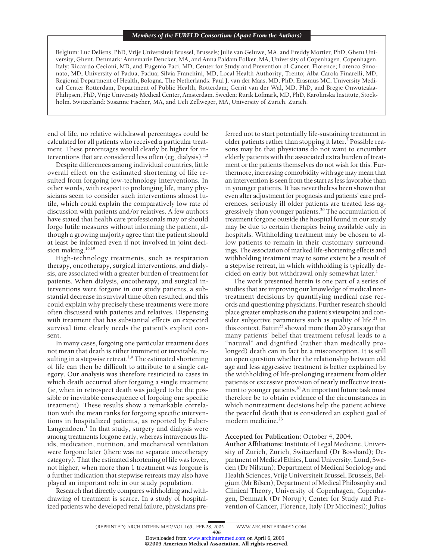Belgium: Luc Deliens, PhD, Vrije Universiteit Brussel, Brussels; Julie van Geluwe, MA, and Freddy Mortier, PhD, Ghent University, Ghent. Denmark: Annemarie Dencker, MA, and Anna Paldam Folker, MA, University of Copenhagen, Copenhagen. Italy: Riccardo Cecioni, MD, and Eugenio Paci, MD, Center for Study and Prevention of Cancer, Florence; Lorenzo Simonato, MD, University of Padua, Padua; Silvia Franchini, MD, Local Health Authority, Trento; Alba Carola Finarelli, MD, Regional Department of Health, Bologna. The Netherlands: Paul J. van der Maas, MD, PhD, Erasmus MC, University Medical Center Rotterdam, Department of Public Health, Rotterdam; Gerrit van der Wal, MD, PhD, and Bregje Onwuteaka-Philipsen, PhD, Vrije University Medical Center, Amsterdam. Sweden: Rurik Löfmark, MD, PhD, Karolinska Institute, Stockholm. Switzerland: Susanne Fischer, MA, and Ueli Zellweger, MA, University of Zurich, Zurich.

end of life, no relative withdrawal percentages could be calculated for all patients who received a particular treatment. These percentages would clearly be higher for interventions that are considered less often (eg, dialysis).<sup>1,2</sup>

Despite differences among individual countries, little overall effect on the estimated shortening of life resulted from forgoing low-technology interventions. In other words, with respect to prolonging life, many physicians seem to consider such interventions almost futile, which could explain the comparatively low rate of discussion with patients and/or relatives. A few authors have stated that health care professionals may or should forgo futile measures without informing the patient, although a growing majority agree that the patient should at least be informed even if not involved in joint decision making.<sup>16,19</sup>

High-technology treatments, such as respiration therapy, oncotherapy, surgical interventions, and dialysis, are associated with a greater burden of treatment for patients. When dialysis, oncotherapy, and surgical interventions were forgone in our study patients, a substantial decrease in survival time often resulted, and this could explain why precisely these treatments were more often discussed with patients and relatives. Dispensing with treatment that has substantial effects on expected survival time clearly needs the patient's explicit consent.

In many cases, forgoing one particular treatment does not mean that death is either imminent or inevitable, resulting in a stepwise retreat.<sup>1,9</sup> The estimated shortening of life can then be difficult to attribute to a single category. Our analysis was therefore restricted to cases in which death occurred after forgoing a single treatment (ie, when in retrospect death was judged to be the possible or inevitable consequence of forgoing one specific treatment). These results show a remarkable correlation with the mean ranks for forgoing specific interventions in hospitalized patients, as reported by Faber-Langendoen. $<sup>1</sup>$  In that study, surgery and dialysis were</sup> among treatments forgone early, whereas intravenous fluids, medication, nutrition, and mechanical ventilation were forgone later (there was no separate oncotherapy category). That the estimated shortening of life was lower, not higher, when more than 1 treatment was forgone is a further indication that stepwise retreats may also have played an important role in our study population.

Research that directly compares withholding and withdrawing of treatment is scarce. In a study of hospitalized patients who developed renal failure, physicians preferred not to start potentially life-sustaining treatment in older patients rather than stopping it later.<sup>2</sup> Possible reasons may be that physicians do not want to encumber elderly patients with the associated extra burden of treatment or the patients themselves do not wish for this. Furthermore, increasing comorbidity with age may mean that an intervention is seen from the start as less favorable than in younger patients. It has nevertheless been shown that even after adjustment for prognosis and patients' care preferences, seriously ill older patients are treated less aggressively than younger patients.<sup>20</sup> The accumulation of treatment forgone outside the hospital found in our study may be due to certain therapies being available only in hospitals. Withholding treatment may be chosen to allow patients to remain in their customary surroundings. The association of marked life-shortening effects and withholding treatment may to some extent be a result of a stepwise retreat, in which withholding is typically decided on early but withdrawal only somewhat later.<sup>1</sup>

The work presented herein is one part of a series of studies that are improving our knowledge of medical nontreatment decisions by quantifying medical case records and questioning physicians. Further research should place greater emphasis on the patient's viewpoint and consider subjective parameters such as quality of life.<sup>21</sup> In this context, Battin<sup>22</sup> showed more than 20 years ago that many patients' belief that treatment refusal leads to a "natural" and dignified (rather than medically prolonged) death can in fact be a misconception. It is still an open question whether the relationship between old age and less aggressive treatment is better explained by the withholding of life-prolonging treatment from older patients or excessive provision of nearly ineffective treatment to younger patients.<sup>20</sup> An important future task must therefore be to obtain evidence of the circumstances in which nontreatment decisions help the patient achieve the peaceful death that is considered an explicit goal of modern medicine.<sup>23</sup>

#### **Accepted for Publication:** October 4, 2004.

**Author Affiliations:** Institute of Legal Medicine, University of Zurich, Zurich, Switzerland (Dr Bosshard); Department of Medical Ethics, Lund University, Lund, Sweden (Dr Nilstun); Department of Medical Sociology and Health Sciences, Vrije Universiteit Brussel, Brussels, Belgium (Mr Bilsen); Department of Medical Philosophy and Clinical Theory, University of Copenhagen, Copenhagen, Denmark (Dr Norup); Center for Study and Prevention of Cancer, Florence, Italy (Dr Miccinesi); Julius